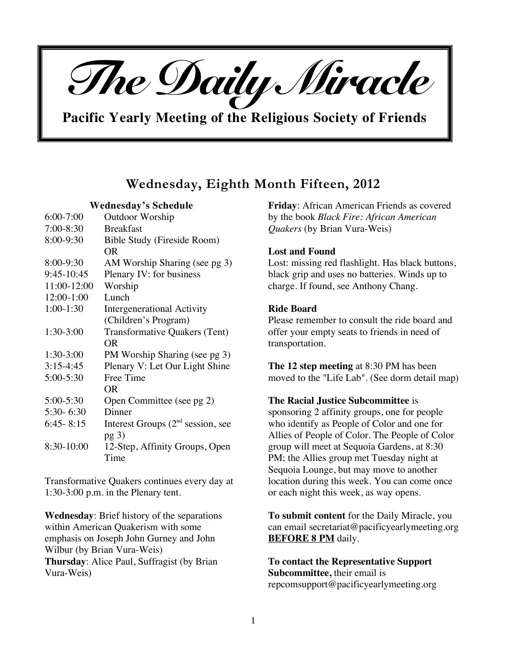

**Pacific Yearly Meeting of the Religious Society of Friends**

# **Wednesday, Eighth Month Fifteen, 2012**

## **Wednesday's Schedule**

| $6:00 - 7:00$ | <b>Outdoor Worship</b>              |
|---------------|-------------------------------------|
| $7:00 - 8:30$ | <b>Breakfast</b>                    |
| 8:00-9:30     | Bible Study (Fireside Room)         |
|               | <b>OR</b>                           |
| 8:00-9:30     | AM Worship Sharing (see pg 3)       |
| 9:45-10:45    | Plenary IV: for business            |
| 11:00-12:00   | Worship                             |
| 12:00-1:00    | Lunch                               |
| $1:00-1:30$   | Intergenerational Activity          |
|               | (Children's Program)                |
| $1:30-3:00$   | Transformative Quakers (Tent)       |
|               | OR.                                 |
| 1:30-3:00     | PM Worship Sharing (see pg 3)       |
| $3:15-4:45$   | Plenary V: Let Our Light Shine      |
| $5:00 - 5:30$ | Free Time                           |
|               | OR.                                 |
| 5:00-5:30     | Open Committee (see pg 2)           |
| 5:30-6:30     | Dinner                              |
| $6:45 - 8:15$ | Interest Groups $(2nd$ session, see |
|               | pg <sub>3</sub>                     |
| 8:30-10:00    | 12-Step, Affinity Groups, Open      |
|               | Time                                |

Transformative Quakers continues every day at 1:30-3:00 p.m. in the Plenary tent.

**Wednesday**: Brief history of the separations within American Quakerism with some emphasis on Joseph John Gurney and John Wilbur (by Brian Vura-Weis) **Thursday**: Alice Paul, Suffragist (by Brian Vura-Weis)

**Friday**: African American Friends as covered by the book *Black Fire: African American Quakers* (by Brian Vura-Weis)

## **Lost and Found**

Lost: missing red flashlight. Has black buttons, black grip and uses no batteries. Winds up to charge. If found, see Anthony Chang.

## **Ride Board**

Please remember to consult the ride board and offer your empty seats to friends in need of transportation.

**The 12 step meeting** at 8:30 PM has been moved to the "Life Lab". (See dorm detail map)

#### **The Racial Justice Subcommittee** is

sponsoring 2 affinity groups, one for people who identify as People of Color and one for Allies of People of Color. The People of Color group will meet at Sequoia Gardens, at 8:30 PM; the Allies group met Tuesday night at Sequoia Lounge, but may move to another location during this week. You can come once or each night this week, as way opens.

**To submit content** for the Daily Miracle, you can email secretariat@pacificyearlymeeting.org **BEFORE 8 PM** daily.

**To contact the Representative Support Subcommittee,** their email is repcomsupport@pacificyearlymeeting.org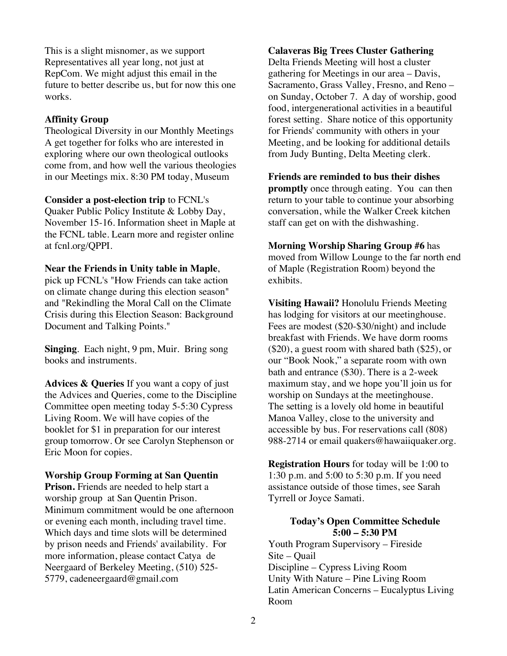This is a slight misnomer, as we support Representatives all year long, not just at RepCom. We might adjust this email in the future to better describe us, but for now this one works.

## **Affinity Group**

Theological Diversity in our Monthly Meetings A get together for folks who are interested in exploring where our own theological outlooks come from, and how well the various theologies in our Meetings mix. 8:30 PM today, Museum

**Consider a post-election trip** to FCNL's Quaker Public Policy Institute & Lobby Day, November 15-16. Information sheet in Maple at the FCNL table. Learn more and register online at fcnl.org/QPPI.

## **Near the Friends in Unity table in Maple**,

pick up FCNL's "How Friends can take action on climate change during this election season" and "Rekindling the Moral Call on the Climate Crisis during this Election Season: Background Document and Talking Points."

**Singing**. Each night, 9 pm, Muir. Bring song books and instruments.

**Advices & Queries** If you want a copy of just the Advices and Queries, come to the Discipline Committee open meeting today 5-5:30 Cypress Living Room. We will have copies of the booklet for \$1 in preparation for our interest group tomorrow. Or see Carolyn Stephenson or Eric Moon for copies.

## **Worship Group Forming at San Quentin**

**Prison.** Friends are needed to help start a worship group at San Quentin Prison. Minimum commitment would be one afternoon or evening each month, including travel time. Which days and time slots will be determined by prison needs and Friends' availability. For more information, please contact Catya de Neergaard of Berkeley Meeting, (510) 525- 5779, cadeneergaard@gmail.com

## **Calaveras Big Trees Cluster Gathering**

Delta Friends Meeting will host a cluster gathering for Meetings in our area – Davis, Sacramento, Grass Valley, Fresno, and Reno – on Sunday, October 7. A day of worship, good food, intergenerational activities in a beautiful forest setting. Share notice of this opportunity for Friends' community with others in your Meeting, and be looking for additional details from Judy Bunting, Delta Meeting clerk.

**Friends are reminded to bus their dishes promptly** once through eating. You can then return to your table to continue your absorbing conversation, while the Walker Creek kitchen staff can get on with the dishwashing.

**Morning Worship Sharing Group #6** has moved from Willow Lounge to the far north end of Maple (Registration Room) beyond the exhibits.

**Visiting Hawaii?** Honolulu Friends Meeting has lodging for visitors at our meetinghouse. Fees are modest (\$20-\$30/night) and include breakfast with Friends. We have dorm rooms (\$20), a guest room with shared bath (\$25), or our "Book Nook," a separate room with own bath and entrance (\$30). There is a 2-week maximum stay, and we hope you'll join us for worship on Sundays at the meetinghouse. The setting is a lovely old home in beautiful Manoa Valley, close to the university and accessible by bus. For reservations call (808) 988-2714 or email quakers@hawaiiquaker.org.

**Registration Hours** for today will be 1:00 to 1:30 p.m. and 5:00 to 5:30 p.m. If you need assistance outside of those times, see Sarah Tyrrell or Joyce Samati.

# **Today's Open Committee Schedule 5:00 – 5:30 PM**

Youth Program Supervisory – Fireside Site – Quail Discipline – Cypress Living Room Unity With Nature – Pine Living Room Latin American Concerns – Eucalyptus Living Room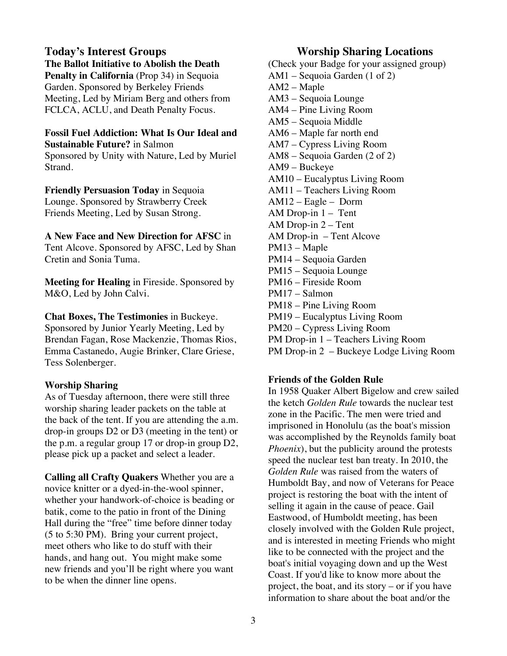# **Today's Interest Groups The Ballot Initiative to Abolish the Death**

**Penalty in California** (Prop 34) in Sequoia Garden. Sponsored by Berkeley Friends Meeting, Led by Miriam Berg and others from FCLCA, ACLU, and Death Penalty Focus.

**Fossil Fuel Addiction: What Is Our Ideal and Sustainable Future?** in Salmon

Sponsored by Unity with Nature, Led by Muriel Strand.

**Friendly Persuasion Today** in Sequoia Lounge. Sponsored by Strawberry Creek Friends Meeting, Led by Susan Strong.

**A New Face and New Direction for AFSC** in Tent Alcove. Sponsored by AFSC, Led by Shan Cretin and Sonia Tuma.

**Meeting for Healing** in Fireside. Sponsored by M&O, Led by John Calvi.

**Chat Boxes, The Testimonies** in Buckeye. Sponsored by Junior Yearly Meeting, Led by Brendan Fagan, Rose Mackenzie, Thomas Rios, Emma Castanedo, Augie Brinker, Clare Griese, Tess Solenberger.

# **Worship Sharing**

As of Tuesday afternoon, there were still three worship sharing leader packets on the table at the back of the tent. If you are attending the a.m. drop-in groups D2 or D3 (meeting in the tent) or the p.m. a regular group 17 or drop-in group D2, please pick up a packet and select a leader.

**Calling all Crafty Quakers** Whether you are a novice knitter or a dyed-in-the-wool spinner, whether your handwork-of-choice is beading or batik, come to the patio in front of the Dining Hall during the "free" time before dinner today (5 to 5:30 PM). Bring your current project, meet others who like to do stuff with their hands, and hang out. You might make some new friends and you'll be right where you want to be when the dinner line opens.

# **Worship Sharing Locations**

(Check your Badge for your assigned group) AM1 – Sequoia Garden (1 of 2) AM2 – Maple AM3 – Sequoia Lounge AM4 – Pine Living Room AM5 – Sequoia Middle AM6 – Maple far north end AM7 – Cypress Living Room AM8 – Sequoia Garden (2 of 2) AM9 – Buckeye AM10 – Eucalyptus Living Room AM11 – Teachers Living Room AM12 – Eagle – Dorm AM Drop-in 1 – Tent AM Drop-in 2 – Tent AM Drop-in – Tent Alcove PM13 – Maple PM14 – Sequoia Garden PM15 – Sequoia Lounge PM16 – Fireside Room PM17 – Salmon PM18 – Pine Living Room PM19 – Eucalyptus Living Room PM20 – Cypress Living Room PM Drop-in 1 – Teachers Living Room

PM Drop-in 2 – Buckeye Lodge Living Room

# **Friends of the Golden Rule**

In 1958 Quaker Albert Bigelow and crew sailed the ketch *Golden Rule* towards the nuclear test zone in the Pacific. The men were tried and imprisoned in Honolulu (as the boat's mission was accomplished by the Reynolds family boat *Phoenix*), but the publicity around the protests speed the nuclear test ban treaty. In 2010, the *Golden Rule* was raised from the waters of Humboldt Bay, and now of Veterans for Peace project is restoring the boat with the intent of selling it again in the cause of peace. Gail Eastwood, of Humboldt meeting, has been closely involved with the Golden Rule project, and is interested in meeting Friends who might like to be connected with the project and the boat's initial voyaging down and up the West Coast. If you'd like to know more about the project, the boat, and its story – or if you have information to share about the boat and/or the